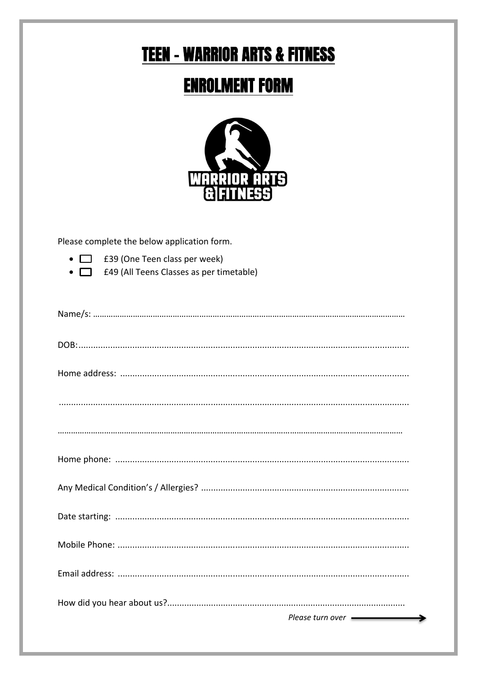# **TEEN - WARRIOR ARTS & FITNESS**

## **ENROLMENT FORM**



Please complete the below application form.

- **1** £39 (One Teen class per week)
- **1** £49 (All Teens Classes as per timetable)

| Please turn over <b>contained</b> |
|-----------------------------------|
|                                   |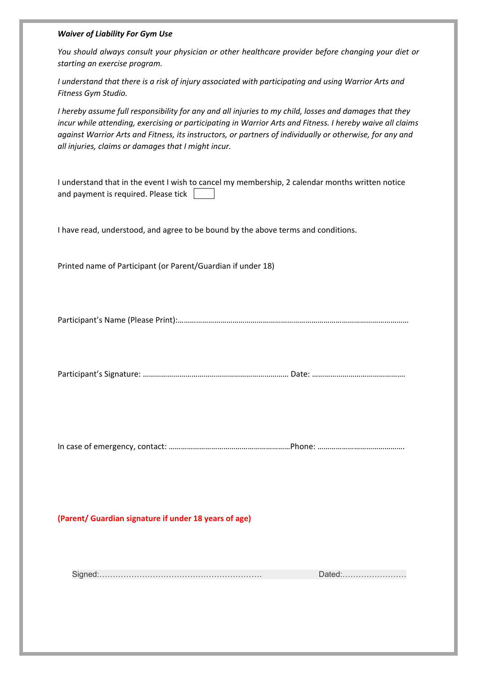#### *Waiver of Liability For Gym Use*

*You should always consult your physician or other healthcare provider before changing your diet or starting an exercise program.* 

*I understand that there is a risk of injury associated with participating and using Warrior Arts and Fitness Gym Studio.* 

*I hereby assume full responsibility for any and all injuries to my child, losses and damages that they incur while attending, exercising or participating in Warrior Arts and Fitness. I hereby waive all claims against Warrior Arts and Fitness, its instructors, or partners of individually or otherwise, for any and all injuries, claims or damages that I might incur.* 

I understand that in the event I wish to cancel my membership, 2 calendar months written notice and payment is required. Please tick

I have read, understood, and agree to be bound by the above terms and conditions.

Printed name of Participant (or Parent/Guardian if under 18)

Participant's Name (Please Print):……………………………………………………………………………………………………

Participant's Signature: ……………………………………………………………… Date: ……………………………………….

In case of emergency, contact: ……………………………………………………Phone: …………………………………….

**(Parent/ Guardian signature if under 18 years of age)**

Signed:……………………………………………………. Dated:……………………